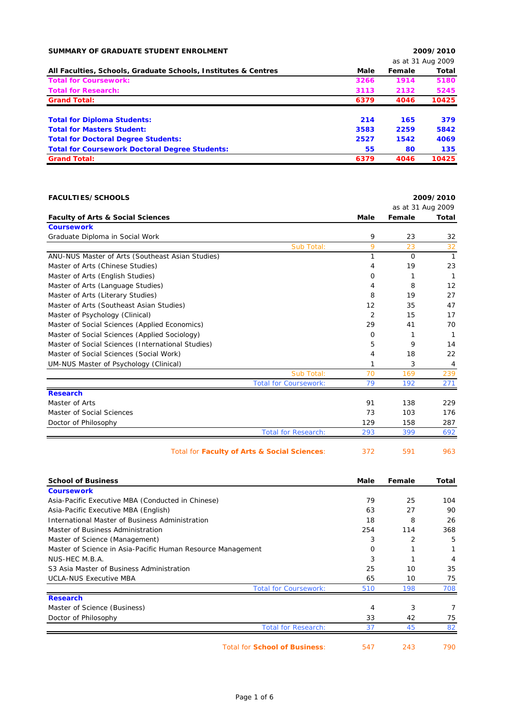| SUMMARY OF GRADUATE STUDENT ENROLMENT                          |      | 2009/2010 |                   |  |
|----------------------------------------------------------------|------|-----------|-------------------|--|
|                                                                |      |           | as at 31 Aug 2009 |  |
| All Faculties, Schools, Graduate Schools, Institutes & Centres | Male | Female    | Total             |  |
| <b>Total for Coursework:</b>                                   | 3266 | 1914      | 5180              |  |
| <b>Total for Research:</b>                                     | 3113 | 2132      | 5245              |  |
| <b>Grand Total:</b>                                            | 6379 | 4046      | 10425             |  |
| <b>Total for Diploma Students:</b>                             | 214  | 165       | 379               |  |
| <b>Total for Masters Student:</b>                              | 3583 | 2259      | 5842              |  |
| <b>Total for Doctoral Degree Students:</b>                     | 2527 | 1542      | 4069              |  |
| <b>Total for Coursework Doctoral Degree Students:</b>          | 55   | 80        | 135               |  |
| <b>Grand Total:</b>                                            | 6379 | 4046      | 10425             |  |

| <b>FACULTIES/SCHOOLS</b>                          |                |                   | 2009/2010      |
|---------------------------------------------------|----------------|-------------------|----------------|
|                                                   |                | as at 31 Aug 2009 |                |
| <b>Faculty of Arts &amp; Social Sciences</b>      | Male           | Female            | <b>Total</b>   |
| <b>Coursework</b>                                 |                |                   |                |
| Graduate Diploma in Social Work                   | 9              | 23                | 32             |
| Sub Total:                                        | 9              | 23                | 32             |
| ANU-NUS Master of Arts (Southeast Asian Studies)  | 1              | $\Omega$          | $\overline{1}$ |
| Master of Arts (Chinese Studies)                  | 4              | 19                | 23             |
| Master of Arts (English Studies)                  | 0              | 1                 | 1              |
| Master of Arts (Language Studies)                 | 4              | 8                 | 12             |
| Master of Arts (Literary Studies)                 | 8              | 19                | 27             |
| Master of Arts (Southeast Asian Studies)          | 12             | 35                | 47             |
| Master of Psychology (Clinical)                   | $\overline{2}$ | 15                | 17             |
| Master of Social Sciences (Applied Economics)     | 29             | 41                | 70             |
| Master of Social Sciences (Applied Sociology)     | 0              | 1                 | -1             |
| Master of Social Sciences (International Studies) | 5              | 9                 | 14             |
| Master of Social Sciences (Social Work)           | 4              | 18                | 22             |
| UM-NUS Master of Psychology (Clinical)            | 1              | 3                 | 4              |
| Sub Total:                                        | 70             | 169               | 239            |
| <b>Total for Coursework:</b>                      | 79             | 192               | 271            |
| <b>Research</b>                                   |                |                   |                |
| Master of Arts                                    | 91             | 138               | 229            |
| Master of Social Sciences                         | 73             | 103               | 176            |
| Doctor of Philosophy                              | 129            | 158               | 287            |
| <b>Total for Research:</b>                        | 293            | 399               | 692            |
| Total for Faculty of Arts & Social Sciences:      | 372            | 591               | 963            |
| <b>School of Business</b>                         | Male           | Female            | <b>Total</b>   |
| <b>Coursework</b>                                 |                |                   |                |
| Asia-Pacific Executive MBA (Conducted in Chinese) | 79             | 25                | 104            |

| Asia-Pacific Executive MBA (Conducted in Chinese)           | 79  | 25  | 104 |
|-------------------------------------------------------------|-----|-----|-----|
| Asia-Pacific Executive MBA (English)                        | 63  | 27  | 90  |
| International Master of Business Administration             | 18  | 8   | 26  |
| Master of Business Administration                           | 254 | 114 | 368 |
| Master of Science (Management)                              | 3   | 2   | 5   |
| Master of Science in Asia-Pacific Human Resource Management | Ω   |     |     |
| NUS-HEC M.B.A.                                              | 3   |     | 4   |
| S3 Asia Master of Business Administration                   | 25  | 10  | 35  |
| <b>UCLA-NUS Executive MBA</b>                               | 65  | 10  | 75  |
| <b>Total for Coursework:</b>                                | 510 | 198 | 708 |
| <b>Research</b>                                             |     |     |     |
| Master of Science (Business)                                | 4   | 3   |     |
| Doctor of Philosophy                                        | 33  | 42  | 75  |
| <b>Total for Research:</b>                                  | 37  | 45  | 82  |
|                                                             |     |     |     |

Total for **School of Business**: 547 243 790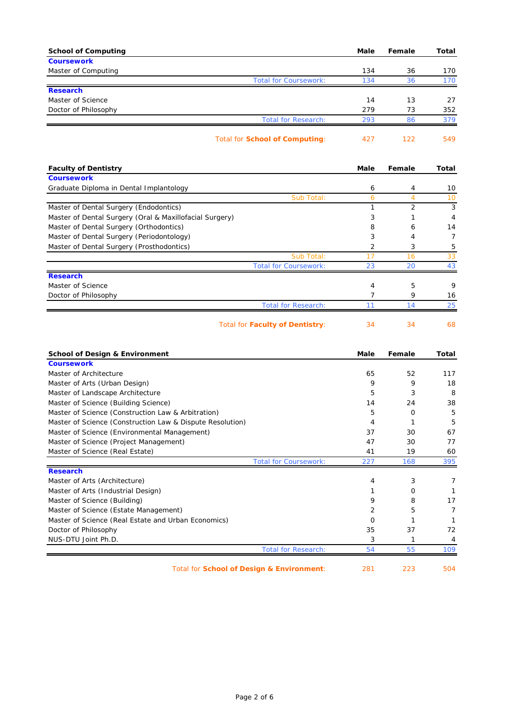| <b>School of Computing</b>                                                | Male     | Female         | <b>Total</b> |
|---------------------------------------------------------------------------|----------|----------------|--------------|
| <b>Coursework</b>                                                         |          |                |              |
| Master of Computing                                                       | 134      | 36             | 170<br>170   |
| <b>Total for Coursework:</b><br><b>Research</b>                           | 134      | 36             |              |
| Master of Science                                                         | 14       | 13             | 27           |
| Doctor of Philosophy                                                      | 279      | 73             | 352          |
| <b>Total for Research:</b>                                                | 293      | 86             | 379          |
|                                                                           |          |                |              |
| <b>Total for School of Computing:</b>                                     | 427      | 122            | 549          |
| <b>Faculty of Dentistry</b>                                               | Male     | Female         | Total        |
| <b>Coursework</b>                                                         |          |                |              |
| Graduate Diploma in Dental Implantology                                   | 6        | 4              | 10           |
| Sub Total:                                                                | 6        | $\overline{4}$ | 10           |
| Master of Dental Surgery (Endodontics)                                    | 1        | $\overline{2}$ | 3            |
| Master of Dental Surgery (Oral & Maxillofacial Surgery)                   | 3        | 1              | 4            |
| Master of Dental Surgery (Orthodontics)                                   | 8        | 6              | 14           |
| Master of Dental Surgery (Periodontology)                                 | 3        | 4              | 7            |
| Master of Dental Surgery (Prosthodontics)                                 | 2        | 3              | 5            |
| Sub Total:                                                                | 17       | 16             | 33           |
| <b>Total for Coursework:</b><br><b>Research</b>                           | 23       | 20             | 43           |
| Master of Science                                                         | 4        | 5              | 9            |
| Doctor of Philosophy                                                      | 7        | 9              | 16           |
| <b>Total for Research:</b>                                                | 11       | 14             | 25           |
| <b>Total for Faculty of Dentistry:</b>                                    | 34       | 34             | 68           |
| <b>School of Design &amp; Environment</b>                                 | Male     | Female         | Total        |
| <b>Coursework</b>                                                         |          |                |              |
| Master of Architecture                                                    | 65       | 52             | 117          |
| Master of Arts (Urban Design)                                             | 9        | 9              | 18           |
| Master of Landscape Architecture                                          | 5        | 3              | 8            |
| Master of Science (Building Science)                                      | 14       | 24             | 38           |
| Master of Science (Construction Law & Arbitration)                        | 5        | 0              | 5            |
| Master of Science (Construction Law & Dispute Resolution)                 | 4        | 1              | 5            |
| Master of Science (Environmental Management)                              | 37       | 30             | 67           |
| Master of Science (Project Management)<br>Master of Science (Real Estate) | 47<br>41 | 30<br>19       | 77<br>60     |
| <b>Total for Coursework:</b>                                              | 227      | 168            | 395          |
| <b>Research</b>                                                           |          |                |              |
| Master of Arts (Architecture)                                             | 4        | 3              | 7            |
| Master of Arts (Industrial Design)                                        | 1        | 0              | 1            |
| Master of Science (Building)                                              | 9        | 8              | 17           |
| Master of Science (Estate Management)                                     | 2        | 5              | 7            |
| Master of Science (Real Estate and Urban Economics)                       | 0        | 1              | 1            |
| Doctor of Philosophy                                                      | 35       | 37             | 72           |
| NUS-DTU Joint Ph.D.                                                       | 3        | 1              | 4            |
| <b>Total for Research:</b>                                                | 54       | 55             | 109          |
| Total for School of Design & Environment:                                 | 281      | 223            | 504          |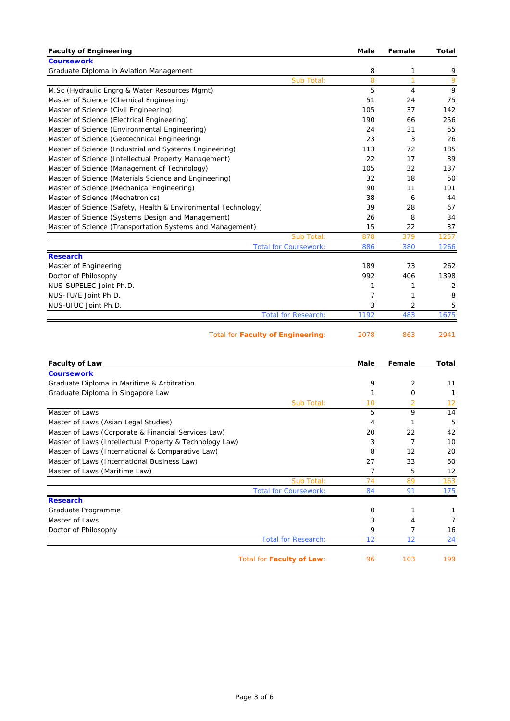| <b>Faculty of Engineering</b>                                 | Male | Female         | <b>Total</b> |
|---------------------------------------------------------------|------|----------------|--------------|
| <b>Coursework</b>                                             |      |                |              |
| Graduate Diploma in Aviation Management                       | 8    | 1              | 9            |
| Sub Total:                                                    | 8    | $\overline{1}$ | 9            |
| M.Sc (Hydraulic Engrg & Water Resources Mgmt)                 | 5    | 4              | 9            |
| Master of Science (Chemical Engineering)                      | 51   | 24             | 75           |
| Master of Science (Civil Engineering)                         | 105  | 37             | 142          |
| Master of Science (Electrical Engineering)                    | 190  | 66             | 256          |
| Master of Science (Environmental Engineering)                 | 24   | 31             | 55           |
| Master of Science (Geotechnical Engineering)                  | 23   | 3              | 26           |
| Master of Science (Industrial and Systems Engineering)        | 113  | 72             | 185          |
| Master of Science (Intellectual Property Management)          | 22   | 17             | 39           |
| Master of Science (Management of Technology)                  | 105  | 32             | 137          |
| Master of Science (Materials Science and Engineering)         | 32   | 18             | 50           |
| Master of Science (Mechanical Engineering)                    | 90   | 11             | 101          |
| Master of Science (Mechatronics)                              | 38   | 6              | 44           |
| Master of Science (Safety, Health & Environmental Technology) | 39   | 28             | 67           |
| Master of Science (Systems Design and Management)             | 26   | 8              | 34           |
| Master of Science (Transportation Systems and Management)     | 15   | 22             | 37           |
| Sub Total:                                                    | 878  | 379            | 1257         |
| <b>Total for Coursework:</b>                                  | 886  | 380            | 1266         |
| <b>Research</b>                                               |      |                |              |
| Master of Engineering                                         | 189  | 73             | 262          |
| Doctor of Philosophy                                          | 992  | 406            | 1398         |
| NUS-SUPELEC Joint Ph.D.                                       | 1    | 1              | 2            |
| NUS-TU/E Joint Ph.D.                                          | 7    | 1              | 8            |
| NUS-UIUC Joint Ph.D.                                          | 3    | 2              | 5            |
| <b>Total for Research:</b>                                    | 1192 | 483            | 1675         |
| <b>Total for Faculty of Engineering:</b>                      | 2078 | 863            | 2941         |

| <b>Faculty of Law</b>                                   |                              | Male     | Female         | <b>Total</b> |
|---------------------------------------------------------|------------------------------|----------|----------------|--------------|
| <b>Coursework</b>                                       |                              |          |                |              |
| Graduate Diploma in Maritime & Arbitration              |                              | 9        | $\overline{2}$ | 11           |
| Graduate Diploma in Singapore Law                       |                              |          | 0              |              |
|                                                         | Sub Total:                   | 10       | $\overline{2}$ | 12           |
| Master of Laws                                          |                              | 5        | 9              | 14           |
| Master of Laws (Asian Legal Studies)                    |                              | 4        |                | 5            |
| Master of Laws (Corporate & Financial Services Law)     |                              | 20       | 22             | 42           |
| Master of Laws (Intellectual Property & Technology Law) |                              | 3        |                | 10           |
| Master of Laws (International & Comparative Law)        |                              | 8        | 12             | 20           |
| Master of Laws (International Business Law)             |                              | 27       | 33             | 60           |
| Master of Laws (Maritime Law)                           |                              |          | 5              | 12           |
|                                                         | Sub Total:                   | 74       | 89             | 163          |
|                                                         | <b>Total for Coursework:</b> | 84       | 91             | 175          |
| <b>Research</b>                                         |                              |          |                |              |
| Graduate Programme                                      |                              | $\Omega$ |                |              |
| Master of Laws                                          |                              | 3        | 4              |              |
| Doctor of Philosophy                                    |                              | 9        |                | 16           |
|                                                         | <b>Total for Research:</b>   | 12       | 12             | 24           |

Total for **Faculty of Law**: 96 103 199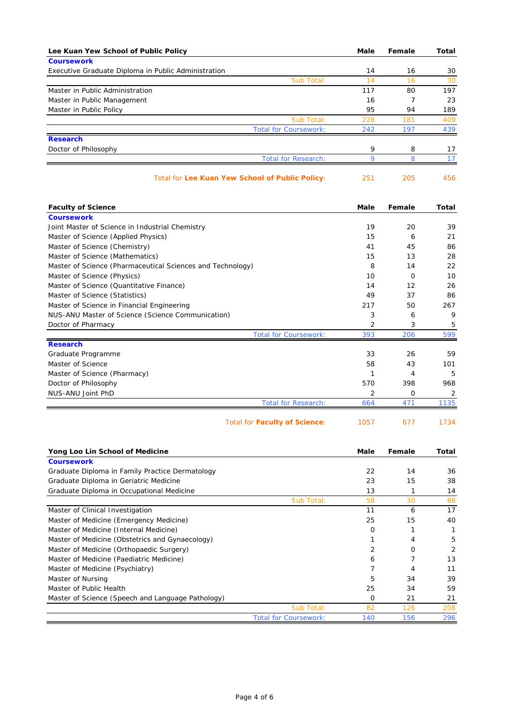| Lee Kuan Yew School of Public Policy                       | Male | Female         | Total        |
|------------------------------------------------------------|------|----------------|--------------|
| <b>Coursework</b>                                          |      |                |              |
| Executive Graduate Diploma in Public Administration        | 14   | 16             | 30           |
| Sub Total:                                                 | 14   | 16             | 30           |
| Master in Public Administration                            | 117  | 80             | 197          |
| Master in Public Management                                | 16   | $\overline{7}$ | 23           |
| Master in Public Policy                                    | 95   | 94             | 189          |
| Sub Total:                                                 | 228  | 181            | 409          |
| <b>Total for Coursework:</b>                               | 242  | 197            | 439          |
| <b>Research</b>                                            |      |                |              |
| Doctor of Philosophy                                       | 9    | 8              | 17           |
| <b>Total for Research:</b>                                 | 9    | 8              | 17           |
| Total for Lee Kuan Yew School of Public Policy:            | 251  | 205            | 456          |
| <b>Faculty of Science</b>                                  | Male | Female         | Total        |
| <b>Coursework</b>                                          |      |                |              |
| Joint Master of Science in Industrial Chemistry            | 19   | 20             | 39           |
| Master of Science (Applied Physics)                        | 15   | 6              | 21           |
| Master of Science (Chemistry)                              | 41   | 45             | 86           |
| Master of Science (Mathematics)                            | 15   | 13             | 28           |
| Master of Science (Pharmaceutical Sciences and Technology) | 8    | 14             | 22           |
| Master of Science (Physics)                                | 10   | 0              | 10           |
| Master of Science (Quantitative Finance)                   | 14   | 12             | 26           |
| Master of Science (Statistics)                             | 49   | 37             | 86           |
| Master of Science in Financial Engineering                 | 217  | 50             | 267          |
| NUS-ANU Master of Science (Science Communication)          | 3    | 6              | 9            |
| Doctor of Pharmacy                                         | 2    | 3              | 5            |
| <b>Total for Coursework:</b>                               | 393  | 206            | 599          |
| <b>Research</b>                                            |      |                |              |
| Graduate Programme                                         | 33   | 26             | 59           |
| Master of Science                                          | 58   | 43             | 101          |
| Master of Science (Pharmacy)                               | 1    | 4              | 5            |
| Doctor of Philosophy                                       | 570  | 398            | 968          |
| NUS-ANU Joint PhD                                          | 2    | 0              | 2            |
| <b>Total for Research:</b>                                 | 664  | 471            | 1135         |
| <b>Total for Faculty of Science:</b>                       | 1057 | 677            | 1734         |
| Yong Loo Lin School of Medicine                            | Male | Female         | Total        |
| <b>Coursework</b>                                          |      |                |              |
| Graduate Diploma in Family Practice Dermatology            | 22   | 14             | 36           |
| Graduate Diploma in Geriatric Medicine                     | 23   | 15             | 38           |
| Graduate Diploma in Occupational Medicine                  | 13   | 1              | 14           |
| Sub Total:                                                 | 58   | 30             | 88           |
| Master of Clinical Investigation                           | 11   | 6              | 17           |
| Master of Medicine (Emergency Medicine)                    | 25   | 15             | 40           |
| Master of Medicine (Internal Medicine)                     | 0    | 1              | $\mathbf{1}$ |
| Master of Medicine (Obstetrics and Gynaecology)            | 1    | 4              | 5            |
| Master of Medicine (Orthopaedic Surgery)                   | 2    | 0              | 2            |
| Master of Medicine (Paediatric Medicine)                   | 6    | $\overline{7}$ | 13           |
| Master of Medicine (Psychiatry)                            | 7    | 4              | 11           |
| Master of Nursing                                          | 5    | 34             | 39           |
| Master of Public Health                                    | 25   | 34             | 59           |
| Master of Science (Speech and Language Pathology)          | 0    | 21             | 21           |
| Sub Total:                                                 | 82   | 126            | 208          |
| <b>Total for Coursework:</b>                               | 140  | 156            | 296          |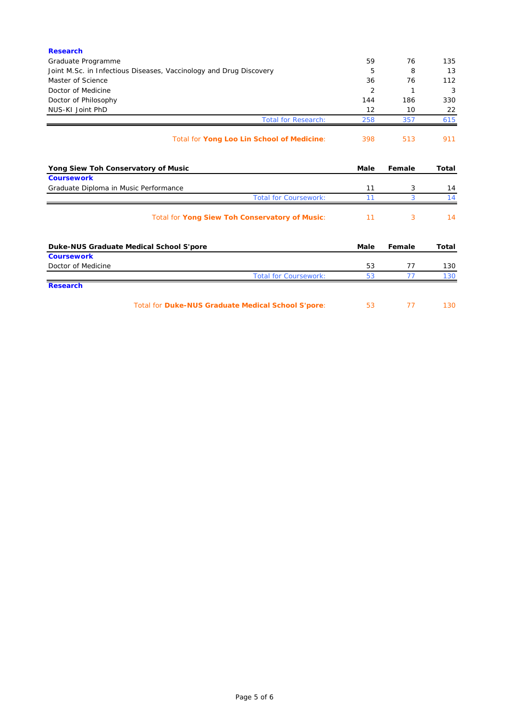| Total for Duke-NUS Graduate Medical School S'pore:                 | 53             | 77     | 130          |
|--------------------------------------------------------------------|----------------|--------|--------------|
| <b>Research</b>                                                    |                |        |              |
| <b>Total for Coursework:</b>                                       | 53             | 77     | 130          |
| Doctor of Medicine                                                 | 53             | 77     | 130          |
| <b>Coursework</b>                                                  |                |        |              |
| Duke-NUS Graduate Medical School S'pore                            | Male           | Female | <b>Total</b> |
| Total for Yong Siew Toh Conservatory of Music:                     | 11             | 3      | 14           |
| <b>Total for Coursework:</b>                                       | 11             | 3      | 14           |
| Graduate Diploma in Music Performance                              | 11             | 3      | 14           |
| <b>Coursework</b>                                                  |                |        |              |
| Yong Siew Toh Conservatory of Music                                | Male           | Female | <b>Total</b> |
| Total for Yong Loo Lin School of Medicine:                         | 398            | 513    | 911          |
| <b>Total for Research:</b>                                         | 258            | 357    | 615          |
| NUS-KI Joint PhD                                                   | 12             | 10     | 22           |
| Doctor of Philosophy                                               | 144            | 186    | 330          |
| Doctor of Medicine                                                 | $\overline{2}$ | 1      | 3            |
| Master of Science                                                  | 36             | 76     | 112          |
| Joint M.Sc. in Infectious Diseases, Vaccinology and Drug Discovery | 5              | 8      | 13           |
| Graduate Programme                                                 | 59             | 76     | 135          |
| <b>Research</b>                                                    |                |        |              |